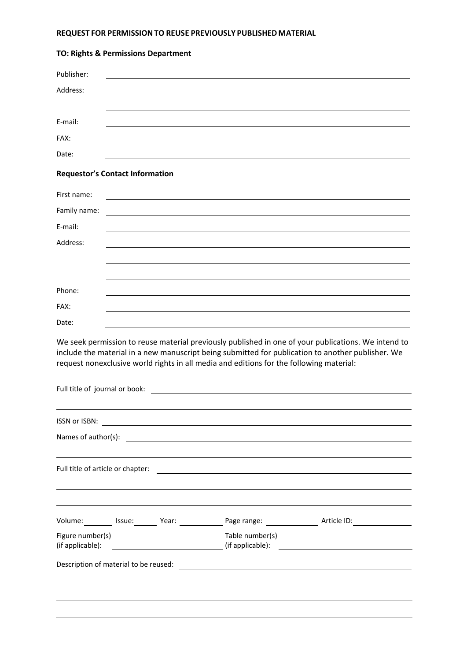## **REQUEST FOR PERMISSIONTO REUSE PREVIOUSLY PUBLISHED MATERIAL**

| Publisher:                     |                                                                                                                                                                                                                                                                                                     |
|--------------------------------|-----------------------------------------------------------------------------------------------------------------------------------------------------------------------------------------------------------------------------------------------------------------------------------------------------|
| Address:                       |                                                                                                                                                                                                                                                                                                     |
|                                |                                                                                                                                                                                                                                                                                                     |
| E-mail:                        |                                                                                                                                                                                                                                                                                                     |
| FAX:                           |                                                                                                                                                                                                                                                                                                     |
| Date:                          |                                                                                                                                                                                                                                                                                                     |
|                                | <b>Requestor's Contact Information</b>                                                                                                                                                                                                                                                              |
| First name:                    |                                                                                                                                                                                                                                                                                                     |
| Family name:                   |                                                                                                                                                                                                                                                                                                     |
| E-mail:                        |                                                                                                                                                                                                                                                                                                     |
| Address:                       |                                                                                                                                                                                                                                                                                                     |
|                                |                                                                                                                                                                                                                                                                                                     |
|                                |                                                                                                                                                                                                                                                                                                     |
| Phone:                         |                                                                                                                                                                                                                                                                                                     |
| FAX:                           |                                                                                                                                                                                                                                                                                                     |
| Date:                          |                                                                                                                                                                                                                                                                                                     |
|                                | We seek permission to reuse material previously published in one of your publications. We intend to<br>include the material in a new manuscript being submitted for publication to another publisher. We<br>request nonexclusive world rights in all media and editions for the following material: |
| Full title of journal or book: |                                                                                                                                                                                                                                                                                                     |

## **TO: Rights & Permissions Department**

|                  |  | Names of author(s): <u>contract the contract of the contract of the contract of the contract of the contract of the contract of the contract of the contract of the contract of the contract of the contract of the contract of </u> |  |
|------------------|--|--------------------------------------------------------------------------------------------------------------------------------------------------------------------------------------------------------------------------------------|--|
|                  |  | ,我们也不能在这里的时候,我们也不能在这里的时候,我们也不能会不能会不能会不能会不能会不能会不能会不能会不能会不能会。<br>第2012章 我们的时候,我们的时候,我们的时候,我们的时候,我们的时候,我们的时候,我们的时候,我们的时候,我们的时候,我们的时候,我们的时候,我们的时候,我                                                                                      |  |
|                  |  |                                                                                                                                                                                                                                      |  |
|                  |  | ,我们也不会有什么。""我们的人,我们也不会有什么?""我们的人,我们也不会有什么?""我们的人,我们也不会有什么?""我们的人,我们也不会有什么?""我们的人                                                                                                                                                     |  |
|                  |  |                                                                                                                                                                                                                                      |  |
|                  |  | Volume: Issue: Year: Year: Page range: Xarticle ID: National Diversion Contract Press, 2014                                                                                                                                          |  |
| Figure number(s) |  | Table number(s)                                                                                                                                                                                                                      |  |
|                  |  |                                                                                                                                                                                                                                      |  |
|                  |  |                                                                                                                                                                                                                                      |  |
|                  |  |                                                                                                                                                                                                                                      |  |